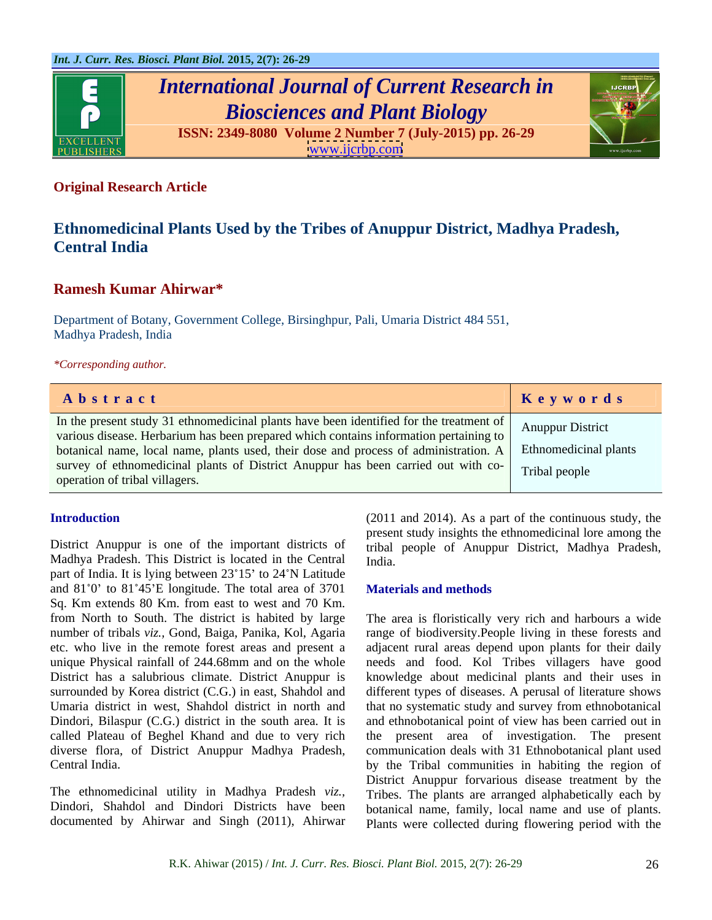

# *International Journal of Current Research in Biosciences and Plant Biology*



**ISSN: 2349-8080 Volume 2 Number 7 (July-2015) pp. 26-29** [www.ijcrbp.com](http://www.ijcrbp.com)

### **Original Research Article**

# **Ethnomedicinal Plants Used by the Tribes of Anuppur District, Madhya Pradesh, Central India**

## **Ramesh Kumar Ahirwar\***

Department of Botany, Government College, Birsinghpur, Pali, Umaria District 484 551, Madhya Pradesh, India

*\*Corresponding author.*

District Anuppur is one of the important districts of tribal people of Anuppur District, Madhya Pradesh, Madhya Pradesh. This District is located in the Central part of India. It is lying between  $23^{\circ}15'$  to  $24^{\circ}N$  Latitude and  $81^{\circ}$  to  $81^{\circ}$ 45'E longitude. The total area of 3701 Materials and methods Sq. Km extends 80 Km. from east to west and 70 Km. from North to South. The district is habited by large

The ethnomedicinal utility in Madhya Pradesh *viz.,* documented by Ahirwar and Singh (2011), Ahirwar

**Introduction** (2011 and 2014). As a part of the continuous study, the present study insights the ethnomedicinal lore among the India.

### **Materials and methods**

number of tribals *viz.*, Gond, Baiga, Panika, Kol, Agaria range of biodiversity.People living in these forests and etc. who live in the remote forest areas and present a adjacent rural areas depend upon plants for their daily unique Physical rainfall of 244.68mm and on the whole needs and food. Kol Tribes villagers have good District has a salubrious climate. District Anuppur is knowledge about medicinal plants and their uses in surrounded by Korea district (C.G.) in east, Shahdol and different types of diseases. A perusal of literature shows Umaria district in west, Shahdol district in north and that no systematic study and survey from ethnobotanical Dindori, Bilaspur (C.G.) district in the south area. It is and ethnobotanical point of view has been carried out in called Plateau of Beghel Khand and due to very rich the present area of investigation. The present diverse flora, of District Anuppur Madhya Pradesh, communication deals with 31 Ethnobotanical plant used Central India. by the Tribal communities in habiting the region of Dindori, Shahdol and Dindori Districts have been botanical name, family, local name and use of plants. The area is floristically very rich and harbours a wide District Anuppur forvarious disease treatment by the Tribes. The plants are arranged alphabetically each by Plants were collected during flowering period with the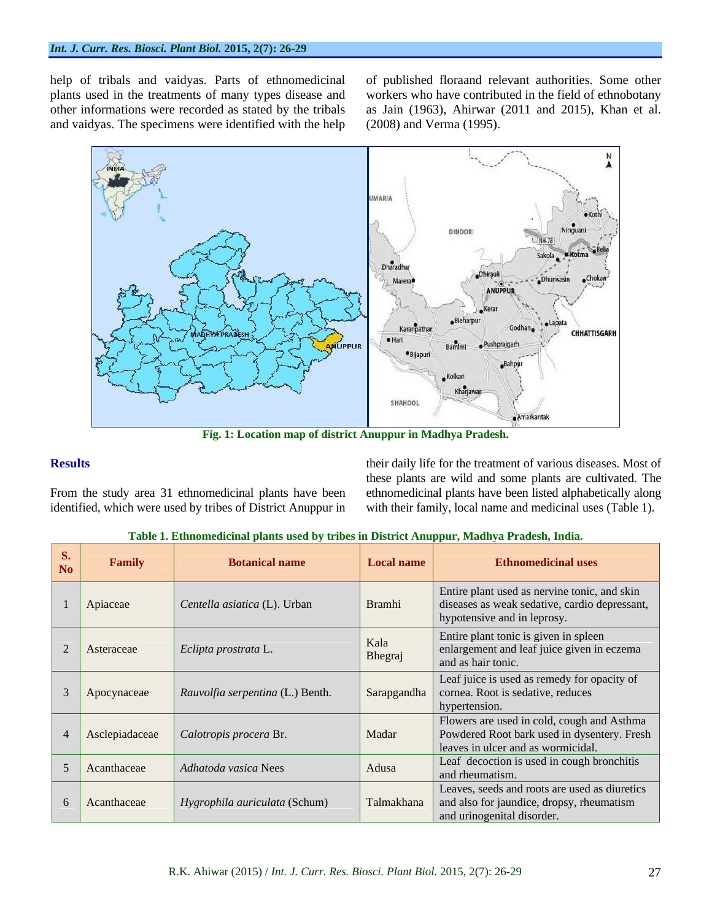and vaidyas. The specimens were identified with the help

help of tribals and vaidyas. Parts of ethnomedicinal of published floraand relevant authorities. Some other plants used in the treatments of many types disease and workers who have contributed in the field of ethnobotany other informations were recorded as stated by the tribals as Jain (1963), Ahirwar (2011 and 2015), Khan et al. (2008) and Verma (1995).



**Fig. 1: Location map of district Anuppur in Madhya Pradesh.**

From the study area 31 ethnomedicinal plants have been ethnomedicinal plants have been listed alphabetically along identified, which were used by tribes of District Anuppur in

**Results** their daily life for the treatment of various diseases. Most of these plants are wild and some plants are cultivated. The with their family, local name and medicinal uses (Table 1).

| $S.$<br>No | Family         | <b>Botanical name</b>            | <b>Local name</b> | <b>Ethnomedicinal uses</b>                                                                                                      |
|------------|----------------|----------------------------------|-------------------|---------------------------------------------------------------------------------------------------------------------------------|
|            | Apiaceae       | Centella asiatica (L). Urban     | Bramhi            | Entire plant used as nervine tonic, and skin<br>diseases as weak sedative, cardio depressant,<br>hypotensive and in leprosy.    |
|            | Asteraceae     | Eclipta prostrata L.             | Kala<br>Bhegraj   | Entire plant tonic is given in spleen<br>enlargement and leaf juice given in eczema<br>and as hair tonic.                       |
|            | Apocynaceae    | Rauvolfia serpentina (L.) Benth. |                   | Leaf juice is used as remedy for opacity of<br>Sarapgandha   cornea. Root is sedative, reduces<br>hypertension.                 |
|            | Asclepiadaceae | Calotropis procera Br.           | Madar             | Flowers are used in cold, cough and Asthma<br>Powdered Root bark used in dysentery. Fresh<br>leaves in ulcer and as wormicidal. |
|            | Acanthaceae    | Adhatoda vasica Nees             | Adusa             | Leaf decoction is used in cough bronchitis<br>and rheumatism.                                                                   |
|            | Acanthaceae    | Hygrophila auriculata (Schum)    | Talmakhana        | Leaves, seeds and roots are used as diuretics<br>and also for jaundice, dropsy, rheumatism<br>and urinogenital disorder.        |

| Madhya '<br>used by tribes in Distric<br>Fable<br>Pradesh, India.<br>dicinal plants us<br>Anuppur<br><b>Exthnomed</b> |  |
|-----------------------------------------------------------------------------------------------------------------------|--|
|-----------------------------------------------------------------------------------------------------------------------|--|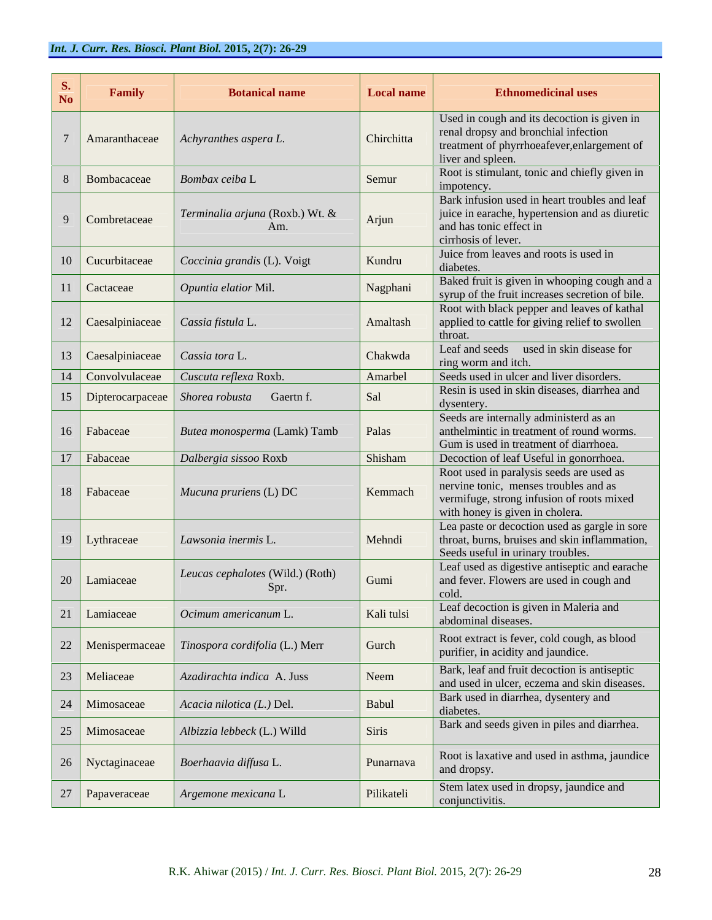### *Int. J. Curr. Res. Biosci. Plant Biol.* **2015, 2(7): 26-29**

| S <sub>1</sub><br>No | Family               | <b>Botanical name</b>                            | <b>Local name</b> | <b>Ethnomedicinal uses</b>                                                                                                                                        |
|----------------------|----------------------|--------------------------------------------------|-------------------|-------------------------------------------------------------------------------------------------------------------------------------------------------------------|
|                      | Amaranthaceae        | Achyranthes aspera L.                            | Chirchitta        | Used in cough and its decoction is given in<br>renal dropsy and bronchial infection<br>treatment of phyrrhoeafever, enlargement of<br>liver and spleen.           |
|                      | Bombacaceae          | Bombax ceiba L                                   | Semur             | Root is stimulant, tonic and chiefly given in<br>impotency.                                                                                                       |
|                      | 9 Combretaceae       | Terminalia arjuna (Roxb.) Wt. &<br>Am.           | Arjun             | Bark infusion used in heart troubles and leaf<br>juice in earache, hypertension and as diuretic<br>and has tonic effect in<br>cirrhosis of lever.                 |
|                      | 10 Cucurbitaceae     | Coccinia grandis (L). Voigt                      | Kundru            | Juice from leaves and roots is used in<br>diabetes.                                                                                                               |
|                      | 11   Cactaceae       | Opuntia elatior Mil.                             | Nagphani          | Baked fruit is given in whooping cough and a<br>syrup of the fruit increases secretion of bile.                                                                   |
|                      | 12 Caesalpiniaceae   | Cassia fistula L.                                | Amaltash          | Root with black pepper and leaves of kathal<br>applied to cattle for giving relief to swollen<br>throat.                                                          |
|                      | 13   Caesalpiniaceae | Cassia tora L.                                   | Chakwda           | Leaf and seeds used in skin disease for<br>ring worm and itch.                                                                                                    |
|                      | 14 Convolvulaceae    | Cuscuta reflexa Roxb.                            | Amarbel           | Seeds used in ulcer and liver disorders.                                                                                                                          |
|                      |                      | 15   Dipterocarpaceae   Shorea robusta Gaertn f. | Sal               | Resin is used in skin diseases, diarrhea and<br>dysentery                                                                                                         |
|                      | 16   Fabaceae        | Butea monosperma (Lamk) Tamb                     | Palas             | Seeds are internally administerd as an<br>anthelmintic in treatment of round worms.<br>Gum is used in treatment of diarrhoea.                                     |
|                      | 17 Fabaceae          | Dalbergia sissoo Roxb                            | Shisham           | Decoction of leaf Useful in gonorrhoea.                                                                                                                           |
|                      | 18 Fabaceae          | Mucuna pruriens (L) DC                           | Kemmach           | Root used in paralysis seeds are used as<br>nervine tonic, menses troubles and as<br>vermifuge, strong infusion of roots mixed<br>with honey is given in cholera. |
|                      | 19 Lythraceae        | Lawsonia inermis L.                              | Mehndi            | Lea paste or decoction used as gargle in sore<br>throat, burns, bruises and skin inflammation,<br>Seeds useful in urinary troubles.                               |
| 20                   | Lamiaceae            | Leucas cephalotes (Wild.) (Roth)<br>Spr          | Gumi              | Leaf used as digestive antiseptic and earache<br>and fever. Flowers are used in cough and<br>cold.                                                                |
|                      | $21$ Lamiaceae       | Ocimum americanum L.                             | Kali tulsi        | Leaf decoction is given in Maleria and<br>abdominal diseases.                                                                                                     |
|                      | $22$ Menispermaceae  | Tinospora cordifolia (L.) Merr                   | Gurch             | Root extract is fever, cold cough, as blood<br>purifier, in acidity and jaundice.                                                                                 |
|                      | 23 Meliaceae         | Azadirachta indica A. Juss                       | Neem              | Bark, leaf and fruit decoction is antiseptic<br>and used in ulcer, eczema and skin diseases.                                                                      |
|                      | 24   Mimosaceae      | Acacia nilotica (L.) Del.                        | Babul             | Bark used in diarrhea, dysentery and<br>diabetes.                                                                                                                 |
| 25                   | <b>Mimosaceae</b>    | Albizzia lebbeck (L.) Willd                      | Siris             | Bark and seeds given in piles and diarrhea.                                                                                                                       |
|                      | 26   Nyctaginaceae   | Boerhaavia diffusa L.                            | Punarnava         | Root is laxative and used in asthma, jaundice<br>and dropsy.                                                                                                      |
|                      | 27 Papaveraceae      | Argemone mexicana L                              | Pilikateli        | Stem latex used in dropsy, jaundice and<br>conjunctivitis.                                                                                                        |